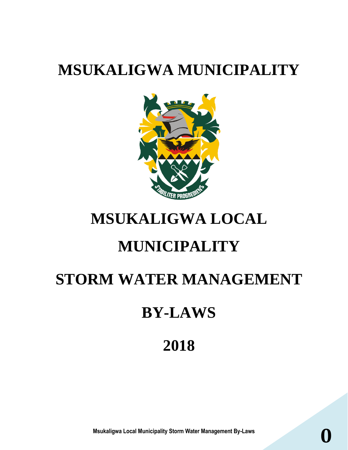# **MSUKALIGWA MUNICIPALITY**



### **MSUKALIGWA LOCAL**

### **MUNICIPALITY**

# **STORM WATER MANAGEMENT**

### **BY-LAWS**

### **2018**

**Msukaligwa Local Municipality Storm Water Management By-Laws 0**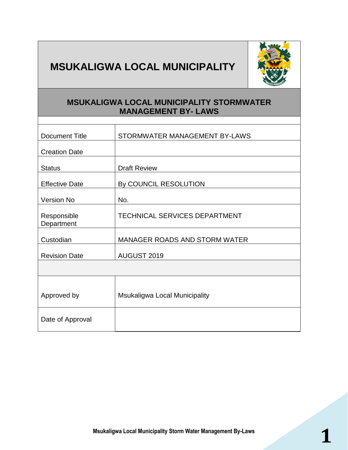### **MSUKALIGWA LOCAL MUNICIPALITY**



#### **MSUKALIGWA LOCAL MUNICIPALITY STORMWATER MANAGEMENT BY- LAWS**

| <b>Document Title</b>     | STORMWATER MANAGEMENT BY-LAWS        |
|---------------------------|--------------------------------------|
| <b>Creation Date</b>      |                                      |
| <b>Status</b>             | <b>Draft Review</b>                  |
| <b>Effective Date</b>     | By COUNCIL RESOLUTION                |
| Version No                | No.                                  |
| Responsible<br>Department | <b>TECHNICAL SERVICES DEPARTMENT</b> |
| Custodian                 | <b>MANAGER ROADS AND STORM WATER</b> |
| <b>Revision Date</b>      | AUGUST 2019                          |
|                           |                                      |
| Approved by               | Msukaligwa Local Municipality        |
| Date of Approval          |                                      |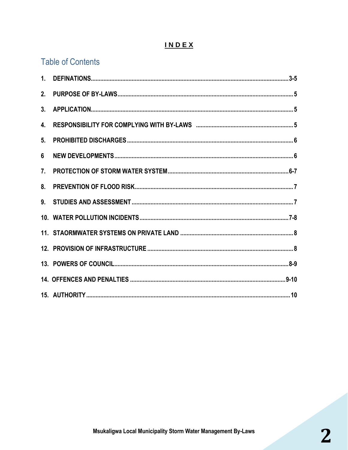#### INDEX

### **Table of Contents**

| 2.             |  |
|----------------|--|
| 3.             |  |
| 4.             |  |
| 5 <sub>1</sub> |  |
| $6\phantom{a}$ |  |
| 7.             |  |
| 8.             |  |
| 9.             |  |
|                |  |
|                |  |
|                |  |
|                |  |
|                |  |
|                |  |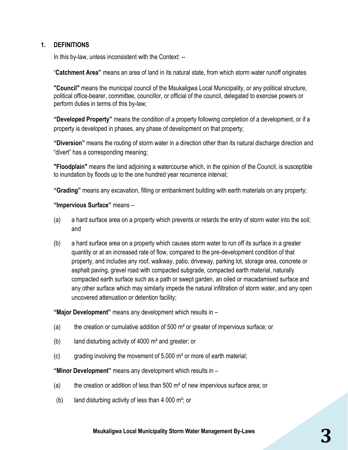#### **1. DEFINITIONS**

In this by-law, unless inconsistent with the Context: --

"**Catchment Area"** means an area of land in its natural state, from which storm water runoff originates

**"Council"** means the municipal council of the Msukaligwa Local Municipality, or any political structure, political office-bearer, committee, councillor, or official of the council, delegated to exercise powers or perform duties in terms of this by-law;

**"Developed Property"** means the condition of a property following completion of a development, or if a property is developed in phases, any phase of development on that property;

**"Diversion"** means the routing of storm water in a direction other than its natural discharge direction and "divert" has a corresponding meaning;

**"Floodplain"** means the land adjoining [a watercourse](http://openbylaws.org.za/za-cpt/act/by-law/2005/stormwater-management/#term-watercourse) which, in the opinion of the [Council,](http://openbylaws.org.za/za-cpt/act/by-law/2005/stormwater-management/#term-Council) is susceptible to inundation by floods up to the one hundred year recurrence interval;

**"Grading"** means any excavation, filling or embankment building with earth materials on any property;

#### **"Impervious Surface"** means –

- (a) a hard surface area on a property which prevents or retards the entry of storm water into the soil; and
- (b) a hard surface area on a property which causes storm water to run off its surface in a greater quantity or at an increased rate of flow, compared to the pre-development condition of that property, and includes any roof, walkway, patio, driveway, parking lot, storage area, concrete or asphalt paving, gravel road with compacted subgrade, compacted earth material, naturally compacted earth surface such as a path or swept garden, an oiled or macadamised surface and any other surface which may similarly impede the natural infiltration of storm water, and any open uncovered attenuation or detention facility;

**"Major Development"** means any development which results in –

- (a) the creation or cumulative addition of 500 m² or greater of impervious surface; or
- (b) land disturbing activity of 4000  $\mathrm{m}^2$  and greater; or
- (c) grading involving the movement of  $5,000$  m<sup>3</sup> or more of earth material;

**"Minor Development"** means any development which results in –

- (a) the creation or addition of less than 500  $\mathrm{m}^2$  of new impervious surface area; or
- (b) land disturbing activity of less than 4 000  $m^2$ ; or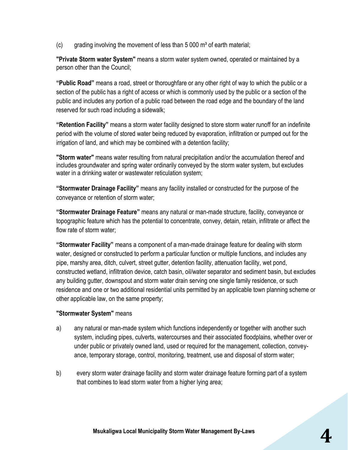(c) grading involving the movement of less than  $5\,000$  m<sup>3</sup> of earth material;

**"Private Storm water System"** means a storm [water system](http://openbylaws.org.za/za-cpt/act/by-law/2005/stormwater-management/#term-stormwater_system) owned, operated or maintained by a person other than the [Council;](http://openbylaws.org.za/za-cpt/act/by-law/2005/stormwater-management/#term-Council)

**"Public Road"** means a road, street or thoroughfare or any other right of way to which the public or a section of the public has a right of access or which is commonly used by the public or a section of the public and includes any portion of a public road between the road edge and the boundary of the land reserved for such road including a sidewalk;

**"Retention Facility"** means a storm water facility designed to store storm water runoff for an indefinite period with the volume of stored water being reduced by evaporation, infiltration or pumped out for the irrigation of land, and which may be combined with a detention facility;

**"Storm water"** means water resulting from natural precipitation and/or the accumulation thereof and includes groundwater and spring water ordinarily conveyed by the [storm water](http://openbylaws.org.za/za-cpt/act/by-law/2005/stormwater-management/#term-stormwater_system) system, but excludes water in a drinking water or wastewater reticulation system;

**"Stormwater Drainage Facility"** means any facility installed or constructed for the purpose of the conveyance or retention of storm water;

**"Stormwater Drainage Feature"** means any natural or man-made structure, facility, conveyance or topographic feature which has the potential to concentrate, convey, detain, retain, infiltrate or affect the flow rate of storm water;

**"Stormwater Facility"** means a component of a man-made drainage feature for dealing with storm water, designed or constructed to perform a particular function or multiple functions, and includes any pipe, marshy area, ditch, culvert, street gutter, detention facility, attenuation facility, wet pond, constructed wetland, infiltration device, catch basin, oil/water separator and sediment basin, but excludes any building gutter, downspout and storm water drain serving one single family residence, or such residence and one or two additional residential units permitted by an applicable town planning scheme or other applicable law, on the same property;

#### **"Stormwater System"** means

- a) any natural or man-made system which functions independently or together with another such system, including pipes, culverts, watercourses and their associated floodplains, whether over or under public or privately owned land, used or required for the management, collection, conveyance, temporary storage, control, monitoring, treatment, use and disposal o[f storm water;](http://openbylaws.org.za/za-cpt/act/by-law/2005/stormwater-management/#term-stormwater)
- b) every storm water drainage facility and storm water drainage feature forming part of a system that combines to lead storm water from a higher lying area;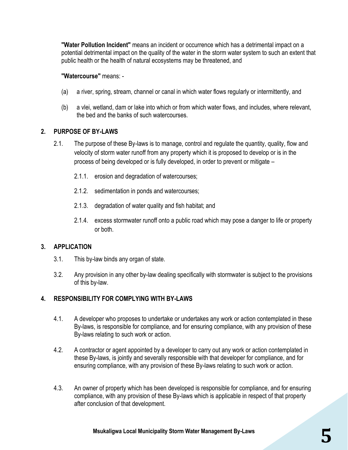**"Water Pollution Incident"** means an incident or occurrence which has a detrimental impact on a potential detrimental impact on the quality of the water in the [storm water system](http://openbylaws.org.za/za-cpt/act/by-law/2005/stormwater-management/#term-stormwater_system) to such an extent that public health or the health of natural ecosystems may be threatened, and

#### **"Watercourse"** means: -

- (a) a river, spring, stream, channel or canal in which water flows regularly or intermittently, and
- (b) a vlei, wetland, dam or lake into which or from which water flows, and includes, where relevant, the bed and the banks of such watercourses.

#### **2. PURPOSE OF BY-LAWS**

- 2.1. The purpose of these By-laws is to manage, control and regulate the quantity, quality, flow and velocity of storm water runoff from any property which it is proposed to develop or is in the process of being developed or is fully developed, in order to prevent or mitigate –
	- 2.1.1. erosion and degradation of watercourses;
	- 2.1.2. sedimentation in ponds and watercourses;
	- 2.1.3. degradation of water quality and fish habitat; and
	- 2.1.4. excess stormwater runoff onto a public road which may pose a danger to life or property or both.

#### **3. APPLICATION**

- 3.1. This by-law binds any organ of state.
- 3.2. Any provision in any other by-law dealing specifically with [stormwater](http://openbylaws.org.za/za-cpt/act/by-law/2005/stormwater-management/#term-stormwater) is subject to the provisions of this by-law.

#### **4. RESPONSIBILITY FOR COMPLYING WITH BY-LAWS**

- 4.1. A developer who proposes to undertake or undertakes any work or action contemplated in these By-laws, is responsible for compliance, and for ensuring compliance, with any provision of these By-laws relating to such work or action.
- 4.2. A contractor or agent appointed by a developer to carry out any work or action contemplated in these By-laws, is jointly and severally responsible with that developer for compliance, and for ensuring compliance, with any provision of these By-laws relating to such work or action.
- 4.3. An owner of property which has been developed is responsible for compliance, and for ensuring compliance, with any provision of these By-laws which is applicable in respect of that property after conclusion of that development.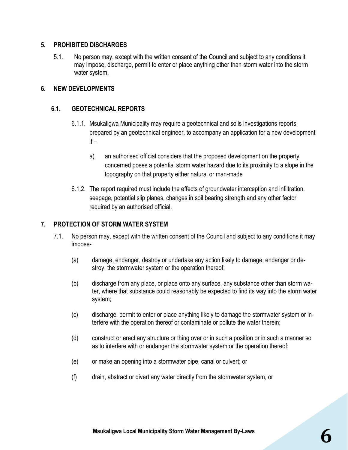#### **5. PROHIBITED DISCHARGES**

5.1. No person may, except with the written consent of the [Council](http://openbylaws.org.za/za-cpt/act/by-law/2005/stormwater-management/#term-Council) and subject to any conditions it may impose, discharge, permit to enter or place anything other than [storm](http://openbylaws.org.za/za-cpt/act/by-law/2005/stormwater-management/#term-stormwater) water into the [storm](http://openbylaws.org.za/za-cpt/act/by-law/2005/stormwater-management/#term-stormwater_system) [water system.](http://openbylaws.org.za/za-cpt/act/by-law/2005/stormwater-management/#term-stormwater_system)

#### **6. NEW DEVELOPMENTS**

#### **6.1. GEOTECHNICAL REPORTS**

- 6.1.1. Msukaligwa Municipality may require a geotechnical and soils investigations reports prepared by an geotechnical engineer, to accompany an application for a new development if –
	- a) an authorised official considers that the proposed development on the property concerned poses a potential storm water hazard due to its proximity to a slope in the topography on that property either natural or man-made
- 6.1.2. The report required must include the effects of groundwater interception and infiltration, seepage, potential slip planes, changes in soil bearing strength and any other factor required by an authorised official.

#### **7. PROTECTION OF STORM WATER SYSTEM**

- 7.1. No person may, except with the written consent of the [Council](http://openbylaws.org.za/za-cpt/act/by-law/2005/stormwater-management/#term-Council) and subject to any conditions it may impose-
	- (a) damage, endanger, destroy or undertake any action likely to damage, endanger or destroy, the [stormwater system](http://openbylaws.org.za/za-cpt/act/by-law/2005/stormwater-management/#term-stormwater_system) or the operation thereof;
	- (b) discharge from any place, or place onto any surface, any substance other than [storm](http://openbylaws.org.za/za-cpt/act/by-law/2005/stormwater-management/#term-stormwater) wa[ter,](http://openbylaws.org.za/za-cpt/act/by-law/2005/stormwater-management/#term-stormwater) where that substance could reasonably be expected to find its way into the [storm water](http://openbylaws.org.za/za-cpt/act/by-law/2005/stormwater-management/#term-stormwater_system)  [system;](http://openbylaws.org.za/za-cpt/act/by-law/2005/stormwater-management/#term-stormwater_system)
	- (c) discharge, permit to enter or place anything likely to damage the [stormwater system](http://openbylaws.org.za/za-cpt/act/by-law/2005/stormwater-management/#term-stormwater_system) or interfere with the operation thereof or contaminate or pollute the water therein;
	- (d) construct or erect any structure or thing over or in such a position or in such a manner so as to interfere with or endanger the [stormwater system](http://openbylaws.org.za/za-cpt/act/by-law/2005/stormwater-management/#term-stormwater_system) or the operation thereof;
	- (e) or make an opening into a [stormwater](http://openbylaws.org.za/za-cpt/act/by-law/2005/stormwater-management/#term-stormwater) pipe, canal or culvert; or
	- (f) drain, abstract or divert any water directly from the [stormwater system,](http://openbylaws.org.za/za-cpt/act/by-law/2005/stormwater-management/#term-stormwater_system) or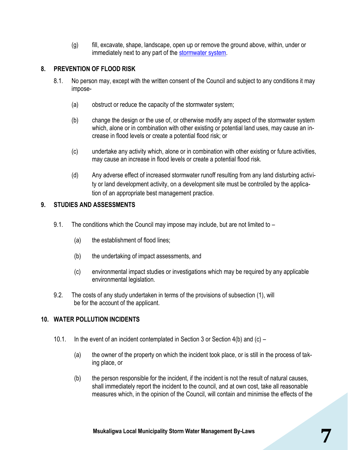(g) fill, excavate, shape, landscape, open up or remove the ground above, within, under or immediately next to any part of the [stormwater system.](http://openbylaws.org.za/za-cpt/act/by-law/2005/stormwater-management/#term-stormwater_system)

#### **8. PREVENTION OF FLOOD RISK**

- 8.1. No person may, except with the written consent of the [Council](http://openbylaws.org.za/za-cpt/act/by-law/2005/stormwater-management/#term-Council) and subject to any conditions it may impose-
	- (a) obstruct or reduce the capacity of the [stormwater system;](http://openbylaws.org.za/za-cpt/act/by-law/2005/stormwater-management/#term-stormwater_system)
	- (b) change the design or the use of, or otherwise modify any aspect of the [stormwater system](http://openbylaws.org.za/za-cpt/act/by-law/2005/stormwater-management/#term-stormwater_system) which, alone or in combination with other existing or potential land uses, may cause an increase in flood levels or create a potential flood risk; or
	- (c) undertake any activity which, alone or in combination with other existing or future activities, may cause an increase in flood levels or create a potential flood risk.
	- (d) Any adverse effect of increased stormwater runoff resulting from any land disturbing activity or land development activity, on a development site must be controlled by the application of an appropriate best management practice.

#### **9. STUDIES AND ASSESSMENTS**

- 9.1. The conditions which the [Council](http://openbylaws.org.za/za-cpt/act/by-law/2005/stormwater-management/#term-Council) may impose may include, but are not limited to
	- (a) the establishment of flood lines;
	- (b) the undertaking of impact assessments, and
	- (c) environmental impact studies or investigations which may be required by any applicable environmental legislation.
- 9.2. The costs of any study undertaken in terms of the provisions of subsection (1), will be for the account of the applicant.

#### **10. WATER POLLUTION INCIDENTS**

- 10.1. In the event of an incident contemplated in Section 3 or Section 4(b) and (c)
	- (a) the owner of the property on which the incident took place, or is still in the process of taking place, or
	- (b) the person responsible for the incident, if the incident is not the result of natural causes, shall immediately report the incident to the council, and at own cost, take all reasonable measures which, in the opinion of the [Council,](http://openbylaws.org.za/za-cpt/act/by-law/2005/stormwater-management/#term-Council) will contain and minimise the effects of the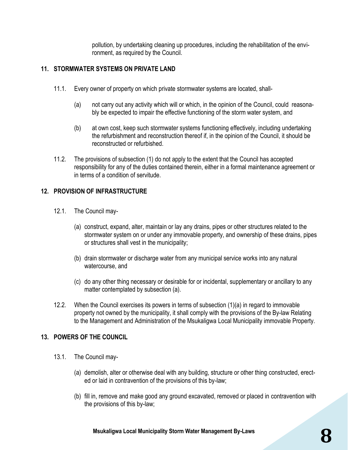pollution, by undertaking cleaning up procedures, including the rehabilitation of the environment, as required by the [Council.](http://openbylaws.org.za/za-cpt/act/by-law/2005/stormwater-management/#term-Council)

#### **11. STORMWATER SYSTEMS ON PRIVATE LAND**

- 11.1. Every owner of property on which private [stormwater](http://openbylaws.org.za/za-cpt/act/by-law/2005/stormwater-management/#term-stormwater) systems are located, shall-
	- (a) not carry out any activity which will or which, in the opinion of the [Council,](http://openbylaws.org.za/za-cpt/act/by-law/2005/stormwater-management/#term-Council) could reasonably be expected to impair the effective functioning of the [storm water system,](http://openbylaws.org.za/za-cpt/act/by-law/2005/stormwater-management/#term-stormwater_system) and
	- (b) at own cost, keep such [stormwater](http://openbylaws.org.za/za-cpt/act/by-law/2005/stormwater-management/#term-stormwater) systems functioning effectively, including undertaking the refurbishment and reconstruction thereof if, in the opinion of the [Council,](http://openbylaws.org.za/za-cpt/act/by-law/2005/stormwater-management/#term-Council) it should be reconstructed or refurbished.
- 11.2. The provisions of subsection (1) do not apply to the extent that the [Council](http://openbylaws.org.za/za-cpt/act/by-law/2005/stormwater-management/#term-Council) has accepted responsibility for any of the duties contained therein, either in a formal maintenance agreement or in terms of a condition of servitude.

#### **12. PROVISION OF INFRASTRUCTURE**

- 12.1. The [Council](http://openbylaws.org.za/za-cpt/act/by-law/2005/stormwater-management/#term-Council) may-
	- (a) construct, expand, alter, maintain or lay any drains, pipes or other structures related to the [stormwater system](http://openbylaws.org.za/za-cpt/act/by-law/2005/stormwater-management/#term-stormwater_system) on or under any immovable property, and ownership of these drains, pipes or structures shall vest in the municipality;
	- (b) drain [stormwater](http://openbylaws.org.za/za-cpt/act/by-law/2005/stormwater-management/#term-stormwater) or discharge water from any municipal service works into any natural [watercourse,](http://openbylaws.org.za/za-cpt/act/by-law/2005/stormwater-management/#term-watercourse) and
	- (c) do any other thing necessary or desirable for or incidental, supplementary or ancillary to any matter contemplated by subsection (a).
- 12.2. When the [Council](http://openbylaws.org.za/za-cpt/act/by-law/2005/stormwater-management/#term-Council) exercises its powers in terms of subsection (1)(a) in regard to immovable property not owned by the municipality, it shall comply with the provisions of the By-law Relating to the Management and Administration of the Msukaligwa Local Municipality immovable Property.

#### **13. POWERS OF THE COUNCIL**

- 13.1. The [Council](http://openbylaws.org.za/za-cpt/act/by-law/2005/stormwater-management/#term-Council) may-
	- (a) demolish, alter or otherwise deal with any building, structure or other thing constructed, erected or laid in contravention of the provisions of this by-law;
	- (b) fill in, remove and make good any ground excavated, removed or placed in contravention with the provisions of this by-law;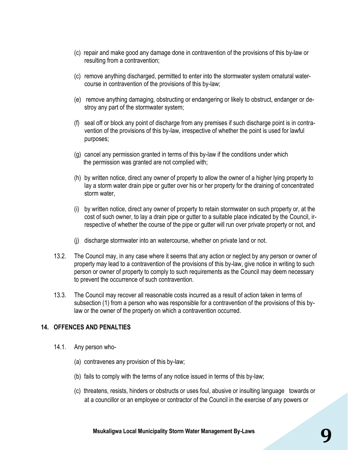- (c) repair and make good any damage done in contravention of the provisions of this by-law or resulting from a contravention;
- (c) remove anything discharged, permitted to enter into the [stormwater system](http://openbylaws.org.za/za-cpt/act/by-law/2005/stormwater-management/#term-stormwater_system) ornatural [water](http://openbylaws.org.za/za-cpt/act/by-law/2005/stormwater-management/#term-watercourse)[course](http://openbylaws.org.za/za-cpt/act/by-law/2005/stormwater-management/#term-watercourse) in contravention of the provisions of this by-law;
- (e) remove anything damaging, obstructing or endangering or likely to obstruct, endanger or destroy any part of the [stormwater system;](http://openbylaws.org.za/za-cpt/act/by-law/2005/stormwater-management/#term-stormwater_system)
- (f) seal off or block any point of discharge from any premises if such discharge point is in contravention of the provisions of this by-law, irrespective of whether the point is used for lawful purposes;
- (g) cancel any permission granted in terms of this by-law if the conditions under which the permission was granted are not complied with;
- (h) by written notice, direct any owner of property to allow the owner of a higher lying property to lay a [storm water](http://openbylaws.org.za/za-cpt/act/by-law/2005/stormwater-management/#term-stormwater) drain pipe or gutter over his or her property for the draining of concentrated [storm water,](http://openbylaws.org.za/za-cpt/act/by-law/2005/stormwater-management/#term-stormwater)
- (i) by written notice, direct any owner of property to retain [stormwater](http://openbylaws.org.za/za-cpt/act/by-law/2005/stormwater-management/#term-stormwater) on such property or, at the cost of such owner, to lay a drain pipe or gutter to a suitable place indicated by the [Council,](http://openbylaws.org.za/za-cpt/act/by-law/2005/stormwater-management/#term-Council) irrespective of whether the course of the pipe or gutter will run over private property or not, and
- (j) discharge [stormwater](http://openbylaws.org.za/za-cpt/act/by-law/2005/stormwater-management/#term-stormwater) into an [watercourse,](http://openbylaws.org.za/za-cpt/act/by-law/2005/stormwater-management/#term-watercourse) whether on private land or not.
- 13.2. The [Council](http://openbylaws.org.za/za-cpt/act/by-law/2005/stormwater-management/#term-Council) may, in any case where it seems that any action or neglect by any person or owner of property may lead to a contravention of the provisions of this by-law, give notice in writing to such person or owner of property to comply to such requirements as the [Council](http://openbylaws.org.za/za-cpt/act/by-law/2005/stormwater-management/#term-Council) may deem necessary to prevent the occurrence of such contravention.
- 13.3. The [Council](http://openbylaws.org.za/za-cpt/act/by-law/2005/stormwater-management/#term-Council) may recover all reasonable costs incurred as a result of action taken in terms of subsection (1) from a person who was responsible for a contravention of the provisions of this bylaw or the owner of the property on which a contravention occurred.

#### **14. OFFENCES AND PENALTIES**

- 14.1. Any person who-
	- (a) contravenes any provision of this by-law;
	- (b) fails to comply with the terms of any notice issued in terms of this by-law;
	- (c) threatens, resists, hinders or obstructs or uses foul, abusive or insulting language towards or at a councillor or an employee or contractor of the [Council](http://openbylaws.org.za/za-cpt/act/by-law/2005/stormwater-management/#term-Council) in the exercise of any powers or